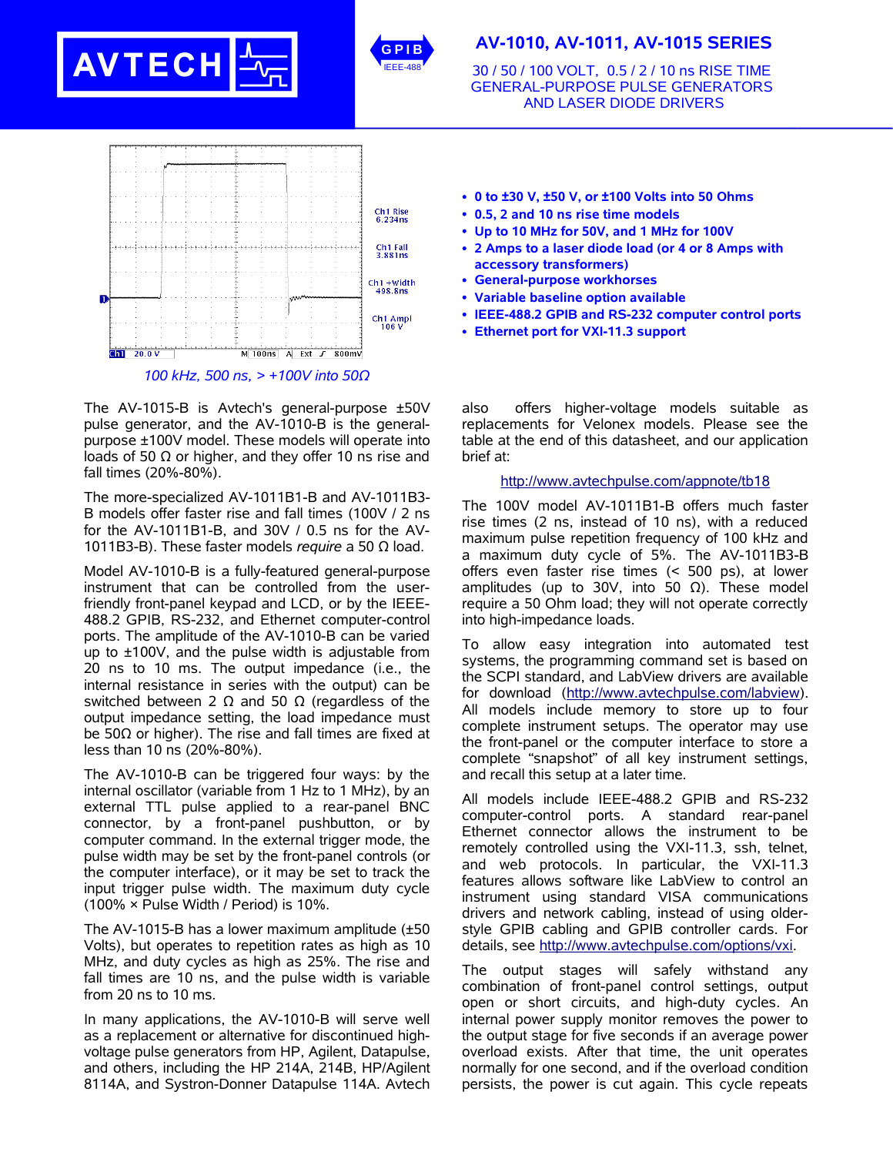



# **AV-1010, AV-1011, AV-1015 SERIES**

30 / 50 / 100 VOLT, 0.5 / 2 / 10 ns RISE TIME GENERAL-PURPOSE PULSE GENERATORS AND LASER DIODE DRIVERS



The AV-1015-B is Avtech's general-purpose ±50V pulse generator, and the AV-1010-B is the generalpurpose ±100V model. These models will operate into loads of 50  $Ω$  or higher, and they offer 10 ns rise and fall times (20%-80%).

The more-specialized AV-1011B1-B and AV-1011B3- B models offer faster rise and fall times (100V / 2 ns for the AV-1011B1-B, and 30V / 0.5 ns for the AV-1011B3-B). These faster models *require* a 50 Ω load.

Model AV-1010-B is a fully-featured general-purpose instrument that can be controlled from the userfriendly front-panel keypad and LCD, or by the IEEE-488.2 GPIB, RS-232, and Ethernet computer-control ports. The amplitude of the AV-1010-B can be varied up to ±100V, and the pulse width is adjustable from 20 ns to 10 ms. The output impedance (i.e., the internal resistance in series with the output) can be switched between 2  $Ω$  and 50  $Ω$  (regardless of the output impedance setting, the load impedance must be 50Ω or higher). The rise and fall times are fixed at less than 10 ns (20%-80%).

The AV-1010-B can be triggered four ways: by the internal oscillator (variable from 1 Hz to 1 MHz), by an external TTL pulse applied to a rear-panel BNC connector, by a front-panel pushbutton, or by computer command. In the external trigger mode, the pulse width may be set by the front-panel controls (or the computer interface), or it may be set to track the input trigger pulse width. The maximum duty cycle (100% × Pulse Width / Period) is 10%.

The AV-1015-B has a lower maximum amplitude (±50 Volts), but operates to repetition rates as high as 10 MHz, and duty cycles as high as 25%. The rise and fall times are 10 ns, and the pulse width is variable from 20 ns to 10 ms.

In many applications, the AV-1010-B will serve well as a replacement or alternative for discontinued highvoltage pulse generators from HP, Agilent, Datapulse, and others, including the HP 214A, 214B, HP/Agilent 8114A, and Systron-Donner Datapulse 114A. Avtech

- **0 to ±30 V, ±50 V, or ±100 Volts into 50 Ohms**
- **0.5, 2 and 10 ns rise time models**
- **Up to 10 MHz for 50V, and 1 MHz for 100V**
- **2 Amps to a laser diode load (or 4 or 8 Amps with accessory transformers)**
- **General-purpose workhorses**
- **Variable baseline option available**
- **IEEE-488.2 GPIB and RS-232 computer control ports**
- **Ethernet port for VXI-11.3 support**

also offers higher-voltage models suitable as replacements for Velonex models. Please see the table at the end of this datasheet, and our application brief at:

### http://www.avtechpulse.com/appnote/tb18

The 100V model AV-1011B1-B offers much faster rise times (2 ns, instead of 10 ns), with a reduced maximum pulse repetition frequency of 100 kHz and a maximum duty cycle of 5%. The AV-1011B3-B offers even faster rise times (< 500 ps), at lower amplitudes (up to 30V, into 50 Ω). These model require a 50 Ohm load; they will not operate correctly into high-impedance loads.

To allow easy integration into automated test systems, the programming command set is based on the SCPI standard, and LabView drivers are available for download (http://www.avtechpulse.com/labview). All models include memory to store up to four complete instrument setups. The operator may use the front-panel or the computer interface to store a complete "snapshot" of all key instrument settings, and recall this setup at a later time.

All models include IEEE-488.2 GPIB and RS-232 computer-control ports. A standard rear-panel Ethernet connector allows the instrument to be remotely controlled using the VXI-11.3, ssh, telnet, and web protocols. In particular, the VXI-11.3 features allows software like LabView to control an instrument using standard VISA communications drivers and network cabling, instead of using olderstyle GPIB cabling and GPIB controller cards. For details, see http://www.avtechpulse.com/options/vxi.

The output stages will safely withstand any combination of front-panel control settings, output open or short circuits, and high-duty cycles. An internal power supply monitor removes the power to the output stage for five seconds if an average power overload exists. After that time, the unit operates normally for one second, and if the overload condition persists, the power is cut again. This cycle repeats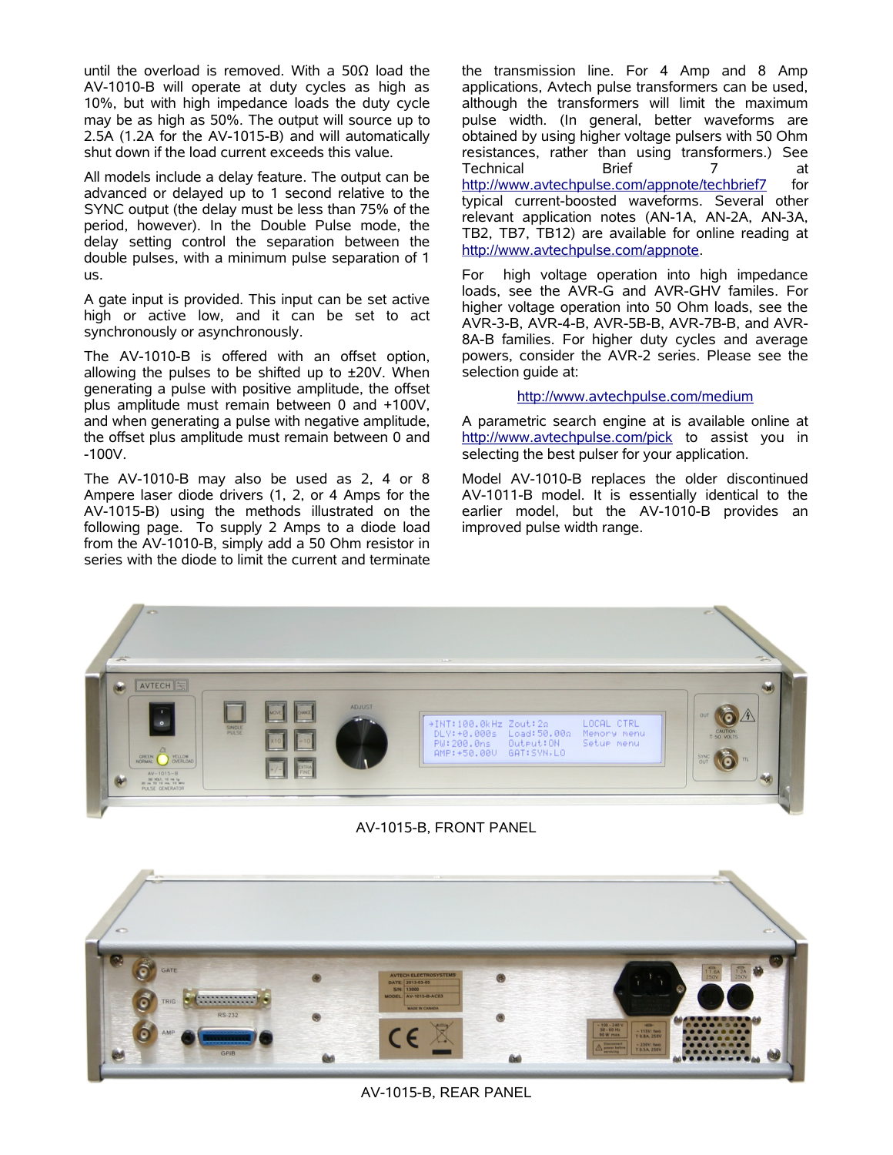until the overload is removed. With a 50Ω load the AV-1010-B will operate at duty cycles as high as 10%, but with high impedance loads the duty cycle may be as high as 50%. The output will source up to 2.5A (1.2A for the AV-1015-B) and will automatically shut down if the load current exceeds this value.

All models include a delay feature. The output can be advanced or delayed up to 1 second relative to the SYNC output (the delay must be less than 75% of the period, however). In the Double Pulse mode, the delay setting control the separation between the double pulses, with a minimum pulse separation of 1 us.

A gate input is provided. This input can be set active high or active low, and it can be set to act synchronously or asynchronously.

The AV-1010-B is offered with an offset option, allowing the pulses to be shifted up to  $\pm 20$ V. When generating a pulse with positive amplitude, the offset plus amplitude must remain between 0 and +100V, and when generating a pulse with negative amplitude, the offset plus amplitude must remain between 0 and -100V.

The AV-1010-B may also be used as 2, 4 or 8 Ampere laser diode drivers (1, 2, or 4 Amps for the AV-1015-B) using the methods illustrated on the following page. To supply 2 Amps to a diode load from the AV-1010-B, simply add a 50 Ohm resistor in series with the diode to limit the current and terminate the transmission line. For 4 Amp and 8 Amp applications, Avtech pulse transformers can be used, although the transformers will limit the maximum pulse width. (In general, better waveforms are obtained by using higher voltage pulsers with 50 Ohm resistances, rather than using transformers.) See Technical Brief 7 at http://www.avtechpulse.com/appnote/techbrief7 for typical current-boosted waveforms. Several other relevant application notes (AN-1A, AN-2A, AN-3A, TB2, TB7, TB12) are available for online reading at http://www.avtechpulse.com/appnote.

For high voltage operation into high impedance loads, see the AVR-G and AVR-GHV familes. For higher voltage operation into 50 Ohm loads, see the AVR-3-B, AVR-4-B, AVR-5B-B, AVR-7B-B, and AVR-8A-B families. For higher duty cycles and average powers, consider the AVR-2 series. Please see the selection guide at:

### http://www.avtechpulse.com/medium

A parametric search engine at is available online at http://www.avtechpulse.com/pick to assist you in selecting the best pulser for your application.

Model AV-1010-B replaces the older discontinued AV-1011-B model. It is essentially identical to the earlier model, but the AV-1010-B provides an improved pulse width range.



## AV-1015-B, FRONT PANEL



AV-1015-B, REAR PANEL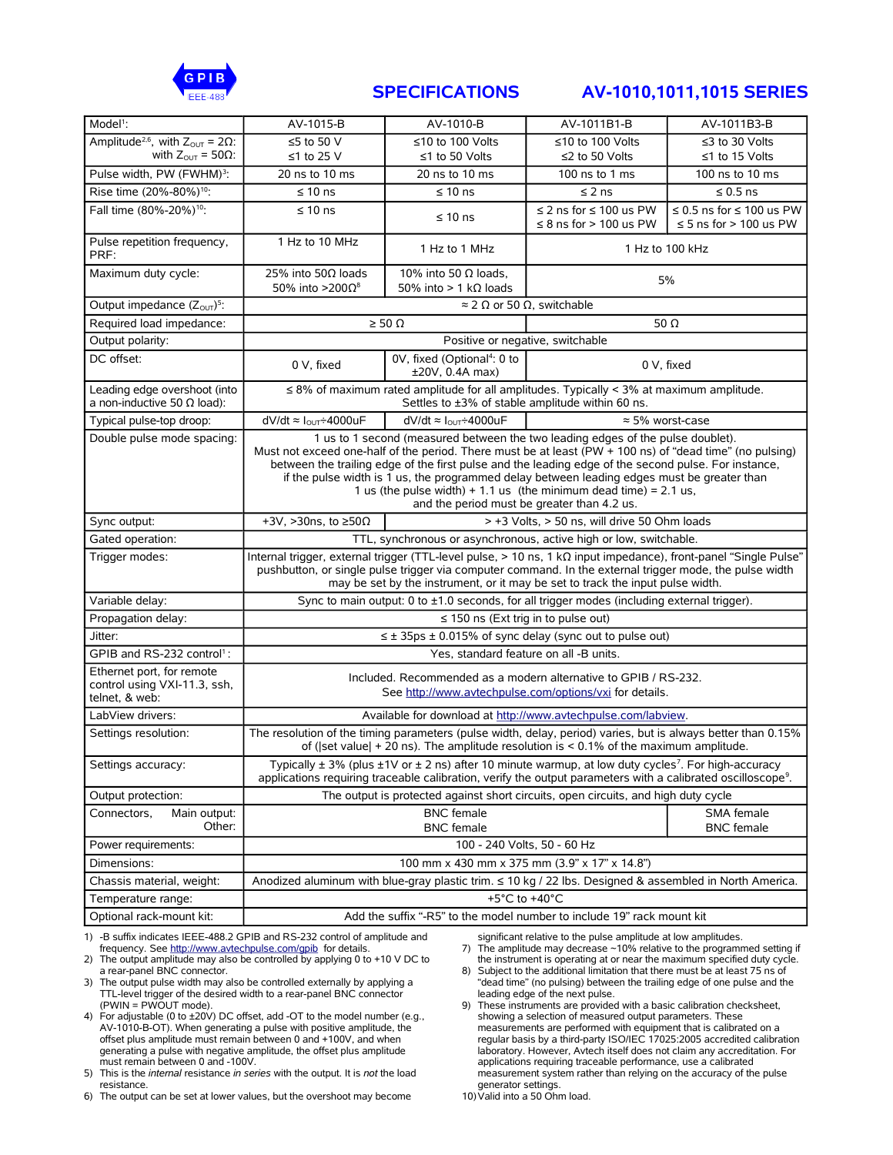

# **SPECIFICATIONS AV-1010,1011,1015 SERIES**

| Amplitude <sup>2,6</sup> , with $Z_{\text{OUT}} = 2\Omega$ :<br>≤5 to 50 V<br>≤10 to 100 Volts<br>≤10 to 100 Volts<br>≤3 to 30 Volts<br>with $Z_{\text{out}} = 50\Omega$ :<br>≤1 to 25 V<br>≤1 to 50 Volts<br>≤2 to 50 Volts<br>≤1 to 15 Volts<br>Pulse width, PW (FWHM) <sup>3</sup> :<br>20 ns to 10 ms<br>20 ns to 10 ms<br>100 ns to 10 ms<br>100 ns to 1 ms<br>Rise time (20%-80%) <sup>10</sup> :<br>$\leq 10$ ns<br>$\leq 10$ ns<br>$\leq$ 2 ns<br>$\leq 0.5$ ns<br>Fall time (80%-20%) <sup>10</sup> :<br>$\leq 10$ ns<br>$\leq$ 2 ns for $\leq$ 100 us PW<br>$\leq$ 0.5 ns for $\leq$ 100 us PW<br>$\leq 10$ ns<br>$\leq$ 8 ns for > 100 us PW<br>$\leq$ 5 ns for > 100 us PW<br>Pulse repetition frequency,<br>1 Hz to 10 MHz<br>1 Hz to 100 kHz<br>1 Hz to 1 MHz<br>PRF:<br>Maximum duty cycle:<br>25% into 50 $\Omega$ loads<br>10% into 50 $\Omega$ loads.<br>5%<br>50% into >200 $\Omega^8$<br>50% into $> 1$ k $\Omega$ loads<br>Output impedance $(Z_{\text{OUT}})^5$ :<br>$\approx$ 2 $\Omega$ or 50 $\Omega$ , switchable<br>Required load impedance:<br>$\geq 50 \Omega$<br>50 $\Omega$<br>Positive or negative, switchable<br>Output polarity:<br>DC offset:<br>0V, fixed (Optional <sup>4</sup> : 0 to<br>0 V, fixed<br>0 V, fixed<br>±20V, 0.4A max)<br>$\leq$ 8% of maximum rated amplitude for all amplitudes. Typically < 3% at maximum amplitude.<br>Leading edge overshoot (into<br>a non-inductive 50 $\Omega$ load):<br>Settles to ±3% of stable amplitude within 60 ns.<br>dV/dt $\approx I_{\text{OUT}} \div 4000$ uF<br>dV/dt $\approx I_{\text{OUT}} \div 4000$ uF<br>$\approx$ 5% worst-case<br>Typical pulse-top droop:<br>1 us to 1 second (measured between the two leading edges of the pulse doublet).<br>Double pulse mode spacing:<br>Must not exceed one-half of the period. There must be at least (PW + 100 ns) of "dead time" (no pulsing)<br>between the trailing edge of the first pulse and the leading edge of the second pulse. For instance,<br>if the pulse width is 1 us, the programmed delay between leading edges must be greater than<br>1 us (the pulse width) + 1.1 us (the minimum dead time) = 2.1 us,<br>and the period must be greater than 4.2 us.<br>> +3 Volts, > 50 ns, will drive 50 Ohm loads<br>+3V, >30ns, to $\geq$ 50 $\Omega$<br>Sync output:<br>TTL, synchronous or asynchronous, active high or low, switchable.<br>Gated operation:<br>Internal trigger, external trigger (TTL-level pulse, $> 10$ ns, 1 k $\Omega$ input impedance), front-panel "Single Pulse"<br>Trigger modes:<br>pushbutton, or single pulse trigger via computer command. In the external trigger mode, the pulse width<br>may be set by the instrument, or it may be set to track the input pulse width.<br>Variable delay:<br>Sync to main output: 0 to $\pm$ 1.0 seconds, for all trigger modes (including external trigger).<br>Propagation delay:<br>$\leq$ 150 ns (Ext trig in to pulse out)<br>Jitter:<br>$\leq$ ± 35ps ± 0.015% of sync delay (sync out to pulse out)<br>GPIB and RS-232 control <sup>1</sup> :<br>Yes, standard feature on all -B units.<br>Ethernet port, for remote<br>Included. Recommended as a modern alternative to GPIB / RS-232.<br>control using VXI-11.3, ssh,<br>See http://www.avtechpulse.com/options/vxi for details.<br>telnet, & web:<br>LabView drivers:<br>Available for download at http://www.avtechpulse.com/labview.<br>Settings resolution:<br>The resolution of the timing parameters (pulse width, delay, period) varies, but is always better than 0.15%<br>of ( set value  + 20 ns). The amplitude resolution is $< 0.1\%$ of the maximum amplitude.<br>Typically $\pm$ 3% (plus $\pm$ 1V or $\pm$ 2 ns) after 10 minute warmup, at low duty cycles <sup>7</sup> . For high-accuracy<br>Settings accuracy:<br>applications requiring traceable calibration, verify the output parameters with a calibrated oscilloscope <sup>9</sup> .<br>Output protection:<br>The output is protected against short circuits, open circuits, and high duty cycle<br><b>BNC</b> female<br>SMA female<br>Main output:<br>Connectors,<br>Other:<br><b>BNC</b> female<br><b>BNC</b> female<br>100 - 240 Volts, 50 - 60 Hz<br>Power requirements:<br>100 mm x 430 mm x 375 mm (3.9" x 17" x 14.8")<br>Dimensions:<br>Anodized aluminum with blue-gray plastic trim. ≤ 10 kg / 22 lbs. Designed & assembled in North America.<br>Chassis material, weight:<br>+5°C to +40°C<br>Temperature range:<br>Optional rack-mount kit:<br>Add the suffix "-R5" to the model number to include 19" rack mount kit | Model <sup>1</sup> : | AV-1015-B | AV-1010-B | AV-1011B1-B | AV-1011B3-B |  |
|--------------------------------------------------------------------------------------------------------------------------------------------------------------------------------------------------------------------------------------------------------------------------------------------------------------------------------------------------------------------------------------------------------------------------------------------------------------------------------------------------------------------------------------------------------------------------------------------------------------------------------------------------------------------------------------------------------------------------------------------------------------------------------------------------------------------------------------------------------------------------------------------------------------------------------------------------------------------------------------------------------------------------------------------------------------------------------------------------------------------------------------------------------------------------------------------------------------------------------------------------------------------------------------------------------------------------------------------------------------------------------------------------------------------------------------------------------------------------------------------------------------------------------------------------------------------------------------------------------------------------------------------------------------------------------------------------------------------------------------------------------------------------------------------------------------------------------------------------------------------------------------------------------------------------------------------------------------------------------------------------------------------------------------------------------------------------------------------------------------------------------------------------------------------------------------------------------------------------------------------------------------------------------------------------------------------------------------------------------------------------------------------------------------------------------------------------------------------------------------------------------------------------------------------------------------------------------------------------------------------------------------------------------------------------------------------------------------------------------------------------------------------------------------------------------------------------------------------------------------------------------------------------------------------------------------------------------------------------------------------------------------------------------------------------------------------------------------------------------------------------------------------------------------------------------------------------------------------------------------------------------------------------------------------------------------------------------------------------------------------------------------------------------------------------------------------------------------------------------------------------------------------------------------------------------------------------------------------------------------------------------------------------------------------------------------------------------------------------------------------------------------------------------------------------------------------------------------------------------------------------------------------------------------------------------------------------------------------------------------------------------------------------------------------------------------------------------------------------------------------------------------------------------------------------------------------------------------------------------------------------------------------------------------------------------------------------------------------------------------------------------------------------------------------------------------------------------------------------------------------------------------------------------------------------------------------------------------------|----------------------|-----------|-----------|-------------|-------------|--|
|                                                                                                                                                                                                                                                                                                                                                                                                                                                                                                                                                                                                                                                                                                                                                                                                                                                                                                                                                                                                                                                                                                                                                                                                                                                                                                                                                                                                                                                                                                                                                                                                                                                                                                                                                                                                                                                                                                                                                                                                                                                                                                                                                                                                                                                                                                                                                                                                                                                                                                                                                                                                                                                                                                                                                                                                                                                                                                                                                                                                                                                                                                                                                                                                                                                                                                                                                                                                                                                                                                                                                                                                                                                                                                                                                                                                                                                                                                                                                                                                                                                                                                                                                                                                                                                                                                                                                                                                                                                                                                                                                                                            |                      |           |           |             |             |  |
|                                                                                                                                                                                                                                                                                                                                                                                                                                                                                                                                                                                                                                                                                                                                                                                                                                                                                                                                                                                                                                                                                                                                                                                                                                                                                                                                                                                                                                                                                                                                                                                                                                                                                                                                                                                                                                                                                                                                                                                                                                                                                                                                                                                                                                                                                                                                                                                                                                                                                                                                                                                                                                                                                                                                                                                                                                                                                                                                                                                                                                                                                                                                                                                                                                                                                                                                                                                                                                                                                                                                                                                                                                                                                                                                                                                                                                                                                                                                                                                                                                                                                                                                                                                                                                                                                                                                                                                                                                                                                                                                                                                            |                      |           |           |             |             |  |
|                                                                                                                                                                                                                                                                                                                                                                                                                                                                                                                                                                                                                                                                                                                                                                                                                                                                                                                                                                                                                                                                                                                                                                                                                                                                                                                                                                                                                                                                                                                                                                                                                                                                                                                                                                                                                                                                                                                                                                                                                                                                                                                                                                                                                                                                                                                                                                                                                                                                                                                                                                                                                                                                                                                                                                                                                                                                                                                                                                                                                                                                                                                                                                                                                                                                                                                                                                                                                                                                                                                                                                                                                                                                                                                                                                                                                                                                                                                                                                                                                                                                                                                                                                                                                                                                                                                                                                                                                                                                                                                                                                                            |                      |           |           |             |             |  |
|                                                                                                                                                                                                                                                                                                                                                                                                                                                                                                                                                                                                                                                                                                                                                                                                                                                                                                                                                                                                                                                                                                                                                                                                                                                                                                                                                                                                                                                                                                                                                                                                                                                                                                                                                                                                                                                                                                                                                                                                                                                                                                                                                                                                                                                                                                                                                                                                                                                                                                                                                                                                                                                                                                                                                                                                                                                                                                                                                                                                                                                                                                                                                                                                                                                                                                                                                                                                                                                                                                                                                                                                                                                                                                                                                                                                                                                                                                                                                                                                                                                                                                                                                                                                                                                                                                                                                                                                                                                                                                                                                                                            |                      |           |           |             |             |  |
|                                                                                                                                                                                                                                                                                                                                                                                                                                                                                                                                                                                                                                                                                                                                                                                                                                                                                                                                                                                                                                                                                                                                                                                                                                                                                                                                                                                                                                                                                                                                                                                                                                                                                                                                                                                                                                                                                                                                                                                                                                                                                                                                                                                                                                                                                                                                                                                                                                                                                                                                                                                                                                                                                                                                                                                                                                                                                                                                                                                                                                                                                                                                                                                                                                                                                                                                                                                                                                                                                                                                                                                                                                                                                                                                                                                                                                                                                                                                                                                                                                                                                                                                                                                                                                                                                                                                                                                                                                                                                                                                                                                            |                      |           |           |             |             |  |
|                                                                                                                                                                                                                                                                                                                                                                                                                                                                                                                                                                                                                                                                                                                                                                                                                                                                                                                                                                                                                                                                                                                                                                                                                                                                                                                                                                                                                                                                                                                                                                                                                                                                                                                                                                                                                                                                                                                                                                                                                                                                                                                                                                                                                                                                                                                                                                                                                                                                                                                                                                                                                                                                                                                                                                                                                                                                                                                                                                                                                                                                                                                                                                                                                                                                                                                                                                                                                                                                                                                                                                                                                                                                                                                                                                                                                                                                                                                                                                                                                                                                                                                                                                                                                                                                                                                                                                                                                                                                                                                                                                                            |                      |           |           |             |             |  |
|                                                                                                                                                                                                                                                                                                                                                                                                                                                                                                                                                                                                                                                                                                                                                                                                                                                                                                                                                                                                                                                                                                                                                                                                                                                                                                                                                                                                                                                                                                                                                                                                                                                                                                                                                                                                                                                                                                                                                                                                                                                                                                                                                                                                                                                                                                                                                                                                                                                                                                                                                                                                                                                                                                                                                                                                                                                                                                                                                                                                                                                                                                                                                                                                                                                                                                                                                                                                                                                                                                                                                                                                                                                                                                                                                                                                                                                                                                                                                                                                                                                                                                                                                                                                                                                                                                                                                                                                                                                                                                                                                                                            |                      |           |           |             |             |  |
|                                                                                                                                                                                                                                                                                                                                                                                                                                                                                                                                                                                                                                                                                                                                                                                                                                                                                                                                                                                                                                                                                                                                                                                                                                                                                                                                                                                                                                                                                                                                                                                                                                                                                                                                                                                                                                                                                                                                                                                                                                                                                                                                                                                                                                                                                                                                                                                                                                                                                                                                                                                                                                                                                                                                                                                                                                                                                                                                                                                                                                                                                                                                                                                                                                                                                                                                                                                                                                                                                                                                                                                                                                                                                                                                                                                                                                                                                                                                                                                                                                                                                                                                                                                                                                                                                                                                                                                                                                                                                                                                                                                            |                      |           |           |             |             |  |
|                                                                                                                                                                                                                                                                                                                                                                                                                                                                                                                                                                                                                                                                                                                                                                                                                                                                                                                                                                                                                                                                                                                                                                                                                                                                                                                                                                                                                                                                                                                                                                                                                                                                                                                                                                                                                                                                                                                                                                                                                                                                                                                                                                                                                                                                                                                                                                                                                                                                                                                                                                                                                                                                                                                                                                                                                                                                                                                                                                                                                                                                                                                                                                                                                                                                                                                                                                                                                                                                                                                                                                                                                                                                                                                                                                                                                                                                                                                                                                                                                                                                                                                                                                                                                                                                                                                                                                                                                                                                                                                                                                                            |                      |           |           |             |             |  |
|                                                                                                                                                                                                                                                                                                                                                                                                                                                                                                                                                                                                                                                                                                                                                                                                                                                                                                                                                                                                                                                                                                                                                                                                                                                                                                                                                                                                                                                                                                                                                                                                                                                                                                                                                                                                                                                                                                                                                                                                                                                                                                                                                                                                                                                                                                                                                                                                                                                                                                                                                                                                                                                                                                                                                                                                                                                                                                                                                                                                                                                                                                                                                                                                                                                                                                                                                                                                                                                                                                                                                                                                                                                                                                                                                                                                                                                                                                                                                                                                                                                                                                                                                                                                                                                                                                                                                                                                                                                                                                                                                                                            |                      |           |           |             |             |  |
|                                                                                                                                                                                                                                                                                                                                                                                                                                                                                                                                                                                                                                                                                                                                                                                                                                                                                                                                                                                                                                                                                                                                                                                                                                                                                                                                                                                                                                                                                                                                                                                                                                                                                                                                                                                                                                                                                                                                                                                                                                                                                                                                                                                                                                                                                                                                                                                                                                                                                                                                                                                                                                                                                                                                                                                                                                                                                                                                                                                                                                                                                                                                                                                                                                                                                                                                                                                                                                                                                                                                                                                                                                                                                                                                                                                                                                                                                                                                                                                                                                                                                                                                                                                                                                                                                                                                                                                                                                                                                                                                                                                            |                      |           |           |             |             |  |
|                                                                                                                                                                                                                                                                                                                                                                                                                                                                                                                                                                                                                                                                                                                                                                                                                                                                                                                                                                                                                                                                                                                                                                                                                                                                                                                                                                                                                                                                                                                                                                                                                                                                                                                                                                                                                                                                                                                                                                                                                                                                                                                                                                                                                                                                                                                                                                                                                                                                                                                                                                                                                                                                                                                                                                                                                                                                                                                                                                                                                                                                                                                                                                                                                                                                                                                                                                                                                                                                                                                                                                                                                                                                                                                                                                                                                                                                                                                                                                                                                                                                                                                                                                                                                                                                                                                                                                                                                                                                                                                                                                                            |                      |           |           |             |             |  |
|                                                                                                                                                                                                                                                                                                                                                                                                                                                                                                                                                                                                                                                                                                                                                                                                                                                                                                                                                                                                                                                                                                                                                                                                                                                                                                                                                                                                                                                                                                                                                                                                                                                                                                                                                                                                                                                                                                                                                                                                                                                                                                                                                                                                                                                                                                                                                                                                                                                                                                                                                                                                                                                                                                                                                                                                                                                                                                                                                                                                                                                                                                                                                                                                                                                                                                                                                                                                                                                                                                                                                                                                                                                                                                                                                                                                                                                                                                                                                                                                                                                                                                                                                                                                                                                                                                                                                                                                                                                                                                                                                                                            |                      |           |           |             |             |  |
|                                                                                                                                                                                                                                                                                                                                                                                                                                                                                                                                                                                                                                                                                                                                                                                                                                                                                                                                                                                                                                                                                                                                                                                                                                                                                                                                                                                                                                                                                                                                                                                                                                                                                                                                                                                                                                                                                                                                                                                                                                                                                                                                                                                                                                                                                                                                                                                                                                                                                                                                                                                                                                                                                                                                                                                                                                                                                                                                                                                                                                                                                                                                                                                                                                                                                                                                                                                                                                                                                                                                                                                                                                                                                                                                                                                                                                                                                                                                                                                                                                                                                                                                                                                                                                                                                                                                                                                                                                                                                                                                                                                            |                      |           |           |             |             |  |
|                                                                                                                                                                                                                                                                                                                                                                                                                                                                                                                                                                                                                                                                                                                                                                                                                                                                                                                                                                                                                                                                                                                                                                                                                                                                                                                                                                                                                                                                                                                                                                                                                                                                                                                                                                                                                                                                                                                                                                                                                                                                                                                                                                                                                                                                                                                                                                                                                                                                                                                                                                                                                                                                                                                                                                                                                                                                                                                                                                                                                                                                                                                                                                                                                                                                                                                                                                                                                                                                                                                                                                                                                                                                                                                                                                                                                                                                                                                                                                                                                                                                                                                                                                                                                                                                                                                                                                                                                                                                                                                                                                                            |                      |           |           |             |             |  |
|                                                                                                                                                                                                                                                                                                                                                                                                                                                                                                                                                                                                                                                                                                                                                                                                                                                                                                                                                                                                                                                                                                                                                                                                                                                                                                                                                                                                                                                                                                                                                                                                                                                                                                                                                                                                                                                                                                                                                                                                                                                                                                                                                                                                                                                                                                                                                                                                                                                                                                                                                                                                                                                                                                                                                                                                                                                                                                                                                                                                                                                                                                                                                                                                                                                                                                                                                                                                                                                                                                                                                                                                                                                                                                                                                                                                                                                                                                                                                                                                                                                                                                                                                                                                                                                                                                                                                                                                                                                                                                                                                                                            |                      |           |           |             |             |  |
|                                                                                                                                                                                                                                                                                                                                                                                                                                                                                                                                                                                                                                                                                                                                                                                                                                                                                                                                                                                                                                                                                                                                                                                                                                                                                                                                                                                                                                                                                                                                                                                                                                                                                                                                                                                                                                                                                                                                                                                                                                                                                                                                                                                                                                                                                                                                                                                                                                                                                                                                                                                                                                                                                                                                                                                                                                                                                                                                                                                                                                                                                                                                                                                                                                                                                                                                                                                                                                                                                                                                                                                                                                                                                                                                                                                                                                                                                                                                                                                                                                                                                                                                                                                                                                                                                                                                                                                                                                                                                                                                                                                            |                      |           |           |             |             |  |
|                                                                                                                                                                                                                                                                                                                                                                                                                                                                                                                                                                                                                                                                                                                                                                                                                                                                                                                                                                                                                                                                                                                                                                                                                                                                                                                                                                                                                                                                                                                                                                                                                                                                                                                                                                                                                                                                                                                                                                                                                                                                                                                                                                                                                                                                                                                                                                                                                                                                                                                                                                                                                                                                                                                                                                                                                                                                                                                                                                                                                                                                                                                                                                                                                                                                                                                                                                                                                                                                                                                                                                                                                                                                                                                                                                                                                                                                                                                                                                                                                                                                                                                                                                                                                                                                                                                                                                                                                                                                                                                                                                                            |                      |           |           |             |             |  |
|                                                                                                                                                                                                                                                                                                                                                                                                                                                                                                                                                                                                                                                                                                                                                                                                                                                                                                                                                                                                                                                                                                                                                                                                                                                                                                                                                                                                                                                                                                                                                                                                                                                                                                                                                                                                                                                                                                                                                                                                                                                                                                                                                                                                                                                                                                                                                                                                                                                                                                                                                                                                                                                                                                                                                                                                                                                                                                                                                                                                                                                                                                                                                                                                                                                                                                                                                                                                                                                                                                                                                                                                                                                                                                                                                                                                                                                                                                                                                                                                                                                                                                                                                                                                                                                                                                                                                                                                                                                                                                                                                                                            |                      |           |           |             |             |  |
|                                                                                                                                                                                                                                                                                                                                                                                                                                                                                                                                                                                                                                                                                                                                                                                                                                                                                                                                                                                                                                                                                                                                                                                                                                                                                                                                                                                                                                                                                                                                                                                                                                                                                                                                                                                                                                                                                                                                                                                                                                                                                                                                                                                                                                                                                                                                                                                                                                                                                                                                                                                                                                                                                                                                                                                                                                                                                                                                                                                                                                                                                                                                                                                                                                                                                                                                                                                                                                                                                                                                                                                                                                                                                                                                                                                                                                                                                                                                                                                                                                                                                                                                                                                                                                                                                                                                                                                                                                                                                                                                                                                            |                      |           |           |             |             |  |
|                                                                                                                                                                                                                                                                                                                                                                                                                                                                                                                                                                                                                                                                                                                                                                                                                                                                                                                                                                                                                                                                                                                                                                                                                                                                                                                                                                                                                                                                                                                                                                                                                                                                                                                                                                                                                                                                                                                                                                                                                                                                                                                                                                                                                                                                                                                                                                                                                                                                                                                                                                                                                                                                                                                                                                                                                                                                                                                                                                                                                                                                                                                                                                                                                                                                                                                                                                                                                                                                                                                                                                                                                                                                                                                                                                                                                                                                                                                                                                                                                                                                                                                                                                                                                                                                                                                                                                                                                                                                                                                                                                                            |                      |           |           |             |             |  |
|                                                                                                                                                                                                                                                                                                                                                                                                                                                                                                                                                                                                                                                                                                                                                                                                                                                                                                                                                                                                                                                                                                                                                                                                                                                                                                                                                                                                                                                                                                                                                                                                                                                                                                                                                                                                                                                                                                                                                                                                                                                                                                                                                                                                                                                                                                                                                                                                                                                                                                                                                                                                                                                                                                                                                                                                                                                                                                                                                                                                                                                                                                                                                                                                                                                                                                                                                                                                                                                                                                                                                                                                                                                                                                                                                                                                                                                                                                                                                                                                                                                                                                                                                                                                                                                                                                                                                                                                                                                                                                                                                                                            |                      |           |           |             |             |  |
|                                                                                                                                                                                                                                                                                                                                                                                                                                                                                                                                                                                                                                                                                                                                                                                                                                                                                                                                                                                                                                                                                                                                                                                                                                                                                                                                                                                                                                                                                                                                                                                                                                                                                                                                                                                                                                                                                                                                                                                                                                                                                                                                                                                                                                                                                                                                                                                                                                                                                                                                                                                                                                                                                                                                                                                                                                                                                                                                                                                                                                                                                                                                                                                                                                                                                                                                                                                                                                                                                                                                                                                                                                                                                                                                                                                                                                                                                                                                                                                                                                                                                                                                                                                                                                                                                                                                                                                                                                                                                                                                                                                            |                      |           |           |             |             |  |
|                                                                                                                                                                                                                                                                                                                                                                                                                                                                                                                                                                                                                                                                                                                                                                                                                                                                                                                                                                                                                                                                                                                                                                                                                                                                                                                                                                                                                                                                                                                                                                                                                                                                                                                                                                                                                                                                                                                                                                                                                                                                                                                                                                                                                                                                                                                                                                                                                                                                                                                                                                                                                                                                                                                                                                                                                                                                                                                                                                                                                                                                                                                                                                                                                                                                                                                                                                                                                                                                                                                                                                                                                                                                                                                                                                                                                                                                                                                                                                                                                                                                                                                                                                                                                                                                                                                                                                                                                                                                                                                                                                                            |                      |           |           |             |             |  |
|                                                                                                                                                                                                                                                                                                                                                                                                                                                                                                                                                                                                                                                                                                                                                                                                                                                                                                                                                                                                                                                                                                                                                                                                                                                                                                                                                                                                                                                                                                                                                                                                                                                                                                                                                                                                                                                                                                                                                                                                                                                                                                                                                                                                                                                                                                                                                                                                                                                                                                                                                                                                                                                                                                                                                                                                                                                                                                                                                                                                                                                                                                                                                                                                                                                                                                                                                                                                                                                                                                                                                                                                                                                                                                                                                                                                                                                                                                                                                                                                                                                                                                                                                                                                                                                                                                                                                                                                                                                                                                                                                                                            |                      |           |           |             |             |  |
|                                                                                                                                                                                                                                                                                                                                                                                                                                                                                                                                                                                                                                                                                                                                                                                                                                                                                                                                                                                                                                                                                                                                                                                                                                                                                                                                                                                                                                                                                                                                                                                                                                                                                                                                                                                                                                                                                                                                                                                                                                                                                                                                                                                                                                                                                                                                                                                                                                                                                                                                                                                                                                                                                                                                                                                                                                                                                                                                                                                                                                                                                                                                                                                                                                                                                                                                                                                                                                                                                                                                                                                                                                                                                                                                                                                                                                                                                                                                                                                                                                                                                                                                                                                                                                                                                                                                                                                                                                                                                                                                                                                            |                      |           |           |             |             |  |
|                                                                                                                                                                                                                                                                                                                                                                                                                                                                                                                                                                                                                                                                                                                                                                                                                                                                                                                                                                                                                                                                                                                                                                                                                                                                                                                                                                                                                                                                                                                                                                                                                                                                                                                                                                                                                                                                                                                                                                                                                                                                                                                                                                                                                                                                                                                                                                                                                                                                                                                                                                                                                                                                                                                                                                                                                                                                                                                                                                                                                                                                                                                                                                                                                                                                                                                                                                                                                                                                                                                                                                                                                                                                                                                                                                                                                                                                                                                                                                                                                                                                                                                                                                                                                                                                                                                                                                                                                                                                                                                                                                                            |                      |           |           |             |             |  |
|                                                                                                                                                                                                                                                                                                                                                                                                                                                                                                                                                                                                                                                                                                                                                                                                                                                                                                                                                                                                                                                                                                                                                                                                                                                                                                                                                                                                                                                                                                                                                                                                                                                                                                                                                                                                                                                                                                                                                                                                                                                                                                                                                                                                                                                                                                                                                                                                                                                                                                                                                                                                                                                                                                                                                                                                                                                                                                                                                                                                                                                                                                                                                                                                                                                                                                                                                                                                                                                                                                                                                                                                                                                                                                                                                                                                                                                                                                                                                                                                                                                                                                                                                                                                                                                                                                                                                                                                                                                                                                                                                                                            |                      |           |           |             |             |  |
|                                                                                                                                                                                                                                                                                                                                                                                                                                                                                                                                                                                                                                                                                                                                                                                                                                                                                                                                                                                                                                                                                                                                                                                                                                                                                                                                                                                                                                                                                                                                                                                                                                                                                                                                                                                                                                                                                                                                                                                                                                                                                                                                                                                                                                                                                                                                                                                                                                                                                                                                                                                                                                                                                                                                                                                                                                                                                                                                                                                                                                                                                                                                                                                                                                                                                                                                                                                                                                                                                                                                                                                                                                                                                                                                                                                                                                                                                                                                                                                                                                                                                                                                                                                                                                                                                                                                                                                                                                                                                                                                                                                            |                      |           |           |             |             |  |
|                                                                                                                                                                                                                                                                                                                                                                                                                                                                                                                                                                                                                                                                                                                                                                                                                                                                                                                                                                                                                                                                                                                                                                                                                                                                                                                                                                                                                                                                                                                                                                                                                                                                                                                                                                                                                                                                                                                                                                                                                                                                                                                                                                                                                                                                                                                                                                                                                                                                                                                                                                                                                                                                                                                                                                                                                                                                                                                                                                                                                                                                                                                                                                                                                                                                                                                                                                                                                                                                                                                                                                                                                                                                                                                                                                                                                                                                                                                                                                                                                                                                                                                                                                                                                                                                                                                                                                                                                                                                                                                                                                                            |                      |           |           |             |             |  |
|                                                                                                                                                                                                                                                                                                                                                                                                                                                                                                                                                                                                                                                                                                                                                                                                                                                                                                                                                                                                                                                                                                                                                                                                                                                                                                                                                                                                                                                                                                                                                                                                                                                                                                                                                                                                                                                                                                                                                                                                                                                                                                                                                                                                                                                                                                                                                                                                                                                                                                                                                                                                                                                                                                                                                                                                                                                                                                                                                                                                                                                                                                                                                                                                                                                                                                                                                                                                                                                                                                                                                                                                                                                                                                                                                                                                                                                                                                                                                                                                                                                                                                                                                                                                                                                                                                                                                                                                                                                                                                                                                                                            |                      |           |           |             |             |  |
|                                                                                                                                                                                                                                                                                                                                                                                                                                                                                                                                                                                                                                                                                                                                                                                                                                                                                                                                                                                                                                                                                                                                                                                                                                                                                                                                                                                                                                                                                                                                                                                                                                                                                                                                                                                                                                                                                                                                                                                                                                                                                                                                                                                                                                                                                                                                                                                                                                                                                                                                                                                                                                                                                                                                                                                                                                                                                                                                                                                                                                                                                                                                                                                                                                                                                                                                                                                                                                                                                                                                                                                                                                                                                                                                                                                                                                                                                                                                                                                                                                                                                                                                                                                                                                                                                                                                                                                                                                                                                                                                                                                            |                      |           |           |             |             |  |
|                                                                                                                                                                                                                                                                                                                                                                                                                                                                                                                                                                                                                                                                                                                                                                                                                                                                                                                                                                                                                                                                                                                                                                                                                                                                                                                                                                                                                                                                                                                                                                                                                                                                                                                                                                                                                                                                                                                                                                                                                                                                                                                                                                                                                                                                                                                                                                                                                                                                                                                                                                                                                                                                                                                                                                                                                                                                                                                                                                                                                                                                                                                                                                                                                                                                                                                                                                                                                                                                                                                                                                                                                                                                                                                                                                                                                                                                                                                                                                                                                                                                                                                                                                                                                                                                                                                                                                                                                                                                                                                                                                                            |                      |           |           |             |             |  |

1) -B suffix indicates IEEE-488.2 GPIB and RS-232 control of amplitude and frequency. See http://www.avtechpulse.com/gpib for details.

- 2) The output amplitude may also be controlled by applying 0 to +10 V DC to a rear-panel BNC connector.
- 3) The output pulse width may also be controlled externally by applying a TTL-level trigger of the desired width to a rear-panel BNC connector (PWIN = PWOUT mode).
- 4) For adjustable (0 to ±20V) DC offset, add -OT to the model number (e.g., AV-1010-B-OT). When generating a pulse with positive amplitude, the offset plus amplitude must remain between 0 and +100V, and when generating a pulse with negative amplitude, the offset plus amplitude must remain between 0 and -100V.
- 5) This is the *internal* resistance *in series* with the output. It is *not* the load resistance.

6) The output can be set at lower values, but the overshoot may become

- significant relative to the pulse amplitude at low amplitudes. 7) The amplitude may decrease ~10% relative to the programmed setting if<br>the instrument is operating at or near the maximum specified duty cycle.<br>8) Subject to the additional limitation that there must be at least 75 ns of
- "dead time" (no pulsing) between the trailing edge of one pulse and the
- leading edge of the next pulse. 9) These instruments are provided with a basic calibration checksheet, showing a selection of measured output parameters. These measurements are performed with equipment that is calibrated on a regular basis by a third-party ISO/IEC 17025:2005 accredited calibration laboratory. However, Avtech itself does not claim any accreditation. For applications requiring traceable performance, use a calibrated measurement system rather than relying on the accuracy of the pulse generator settings.
- 10) Valid into a 50 Ohm load.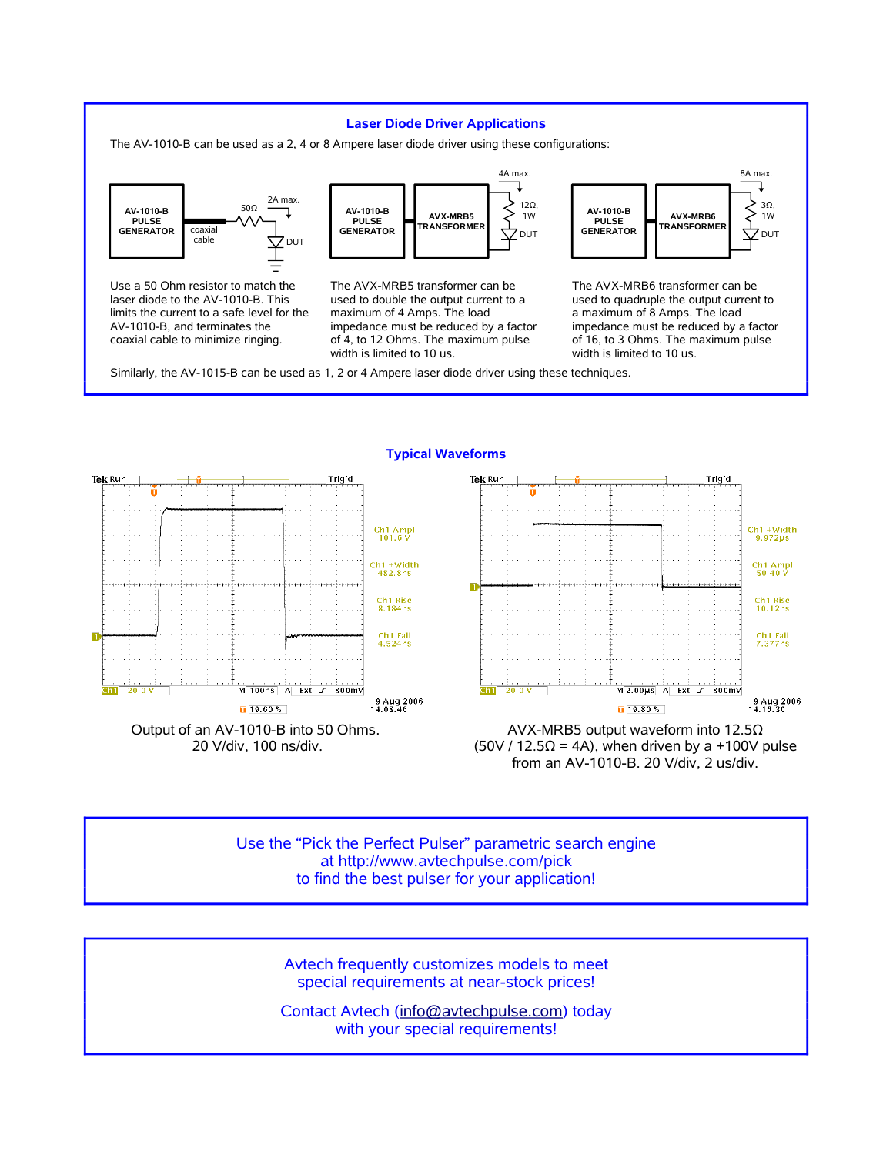### **Laser Diode Driver Applications**

The AV-1010-B can be used as a 2, 4 or 8 Ampere laser diode driver using these configurations:



Use a 50 Ohm resistor to match the laser diode to the AV-1010-B. This limits the current to a safe level for the AV-1010-B, and terminates the coaxial cable to minimize ringing.



The AVX-MRB5 transformer can be used to double the output current to a maximum of 4 Amps. The load impedance must be reduced by a factor of 4, to 12 Ohms. The maximum pulse width is limited to 10 us.



The AVX-MRB6 transformer can be used to quadruple the output current to a maximum of 8 Amps. The load impedance must be reduced by a factor of 16, to 3 Ohms. The maximum pulse width is limited to 10 us.

from an AV-1010-B. 20 V/div, 2 us/div.

Similarly, the AV-1015-B can be used as 1, 2 or 4 Ampere laser diode driver using these techniques.



**Typical Waveforms**

Use the "Pick the Perfect Pulser" parametric search engine at http://www.avtechpulse.com/pick

to find the best pulser for your application!

Avtech frequently customizes models to meet special requirements at near-stock prices!

Contact Avtech (info@avtechpulse.com) today with your special requirements!